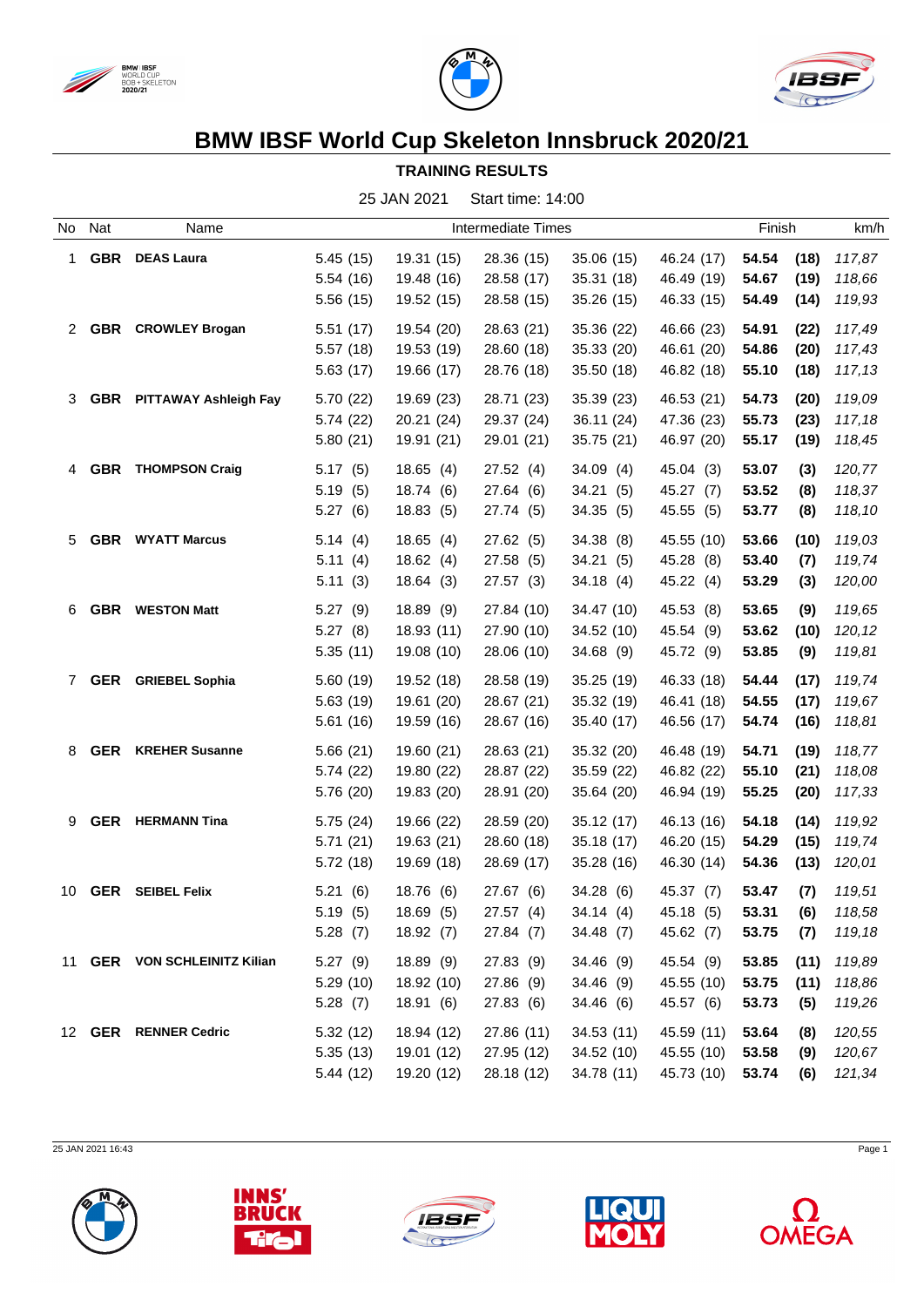





## **BMW IBSF World Cup Skeleton Innsbruck 2020/21**

## **TRAINING RESULTS**

25 JAN 2021 Start time: 14:00

|              | No Nat     | Name                         |           |            | Intermediate Times |            |            | Finish |      | km/h   |
|--------------|------------|------------------------------|-----------|------------|--------------------|------------|------------|--------|------|--------|
| $\mathbf{1}$ | <b>GBR</b> | <b>DEAS Laura</b>            | 5.45(15)  | 19.31 (15) | 28.36 (15)         | 35.06 (15) | 46.24 (17) | 54.54  | (18) | 117,87 |
|              |            |                              | 5.54(16)  | 19.48 (16) | 28.58 (17)         | 35.31 (18) | 46.49 (19) | 54.67  | (19) | 118,66 |
|              |            |                              | 5.56(15)  | 19.52 (15) | 28.58 (15)         | 35.26 (15) | 46.33 (15) | 54.49  | (14) | 119,93 |
|              |            | 2 GBR CROWLEY Brogan         | 5.51(17)  | 19.54 (20) | 28.63 (21)         | 35.36 (22) | 46.66 (23) | 54.91  | (22) | 117,49 |
|              |            |                              | 5.57(18)  | 19.53 (19) | 28.60 (18)         | 35.33 (20) | 46.61 (20) | 54.86  | (20) | 117,43 |
|              |            |                              | 5.63(17)  | 19.66 (17) | 28.76 (18)         | 35.50(18)  | 46.82 (18) | 55.10  | (18) | 117,13 |
| 3            |            | GBR PITTAWAY Ashleigh Fay    | 5.70 (22) | 19.69 (23) | 28.71 (23)         | 35.39 (23) | 46.53 (21) | 54.73  | (20) | 119,09 |
|              |            |                              | 5.74(22)  | 20.21(24)  | 29.37 (24)         | 36.11 (24) | 47.36 (23) | 55.73  | (23) | 117,18 |
|              |            |                              | 5.80(21)  | 19.91 (21) | 29.01 (21)         | 35.75 (21) | 46.97 (20) | 55.17  | (19) | 118,45 |
| 4            |            | <b>GBR</b> THOMPSON Craig    | 5.17(5)   | 18.65(4)   | 27.52(4)           | 34.09(4)   | 45.04 (3)  | 53.07  | (3)  | 120,77 |
|              |            |                              | 5.19(5)   | 18.74 (6)  | 27.64 (6)          | 34.21(5)   | 45.27 (7)  | 53.52  | (8)  | 118,37 |
|              |            |                              | 5.27(6)   | 18.83(5)   | 27.74 (5)          | 34.35(5)   | 45.55 (5)  | 53.77  | (8)  | 118,10 |
| 5            |            | <b>GBR</b> WYATT Marcus      | 5.14(4)   | 18.65(4)   | 27.62(5)           | 34.38(8)   | 45.55 (10) | 53.66  | (10) | 119,03 |
|              |            |                              | 5.11(4)   | 18.62(4)   | 27.58 (5)          | 34.21(5)   | 45.28 (8)  | 53.40  | (7)  | 119,74 |
|              |            |                              | 5.11(3)   | 18.64(3)   | 27.57(3)           | 34.18(4)   | 45.22 (4)  | 53.29  | (3)  | 120,00 |
| 6            | <b>GBR</b> | <b>WESTON Matt</b>           | 5.27(9)   | 18.89(9)   | 27.84 (10)         | 34.47 (10) | 45.53 (8)  | 53.65  | (9)  | 119,65 |
|              |            |                              | 5.27(8)   | 18.93 (11) | 27.90 (10)         | 34.52 (10) | 45.54 (9)  | 53.62  | (10) | 120,12 |
|              |            |                              | 5.35(11)  | 19.08 (10) | 28.06 (10)         | 34.68 (9)  | 45.72 (9)  | 53.85  | (9)  | 119,81 |
| $7^{\circ}$  |            | <b>GER</b> GRIEBEL Sophia    | 5.60(19)  | 19.52 (18) | 28.58 (19)         | 35.25 (19) | 46.33 (18) | 54.44  | (17) | 119,74 |
|              |            |                              | 5.63(19)  | 19.61 (20) | 28.67 (21)         | 35.32 (19) | 46.41 (18) | 54.55  | (17) | 119,67 |
|              |            |                              | 5.61(16)  | 19.59 (16) | 28.67 (16)         | 35.40 (17) | 46.56 (17) | 54.74  | (16) | 118,81 |
| 8            | <b>GER</b> | <b>KREHER Susanne</b>        | 5.66(21)  | 19.60 (21) | 28.63 (21)         | 35.32 (20) | 46.48 (19) | 54.71  | (19) | 118,77 |
|              |            |                              | 5.74(22)  | 19.80 (22) | 28.87 (22)         | 35.59 (22) | 46.82 (22) | 55.10  | (21) | 118,08 |
|              |            |                              | 5.76 (20) | 19.83 (20) | 28.91 (20)         | 35.64 (20) | 46.94 (19) | 55.25  | (20) | 117,33 |
| 9            |            | <b>GER</b> HERMANN Tina      | 5.75(24)  | 19.66 (22) | 28.59 (20)         | 35.12 (17) | 46.13 (16) | 54.18  | (14) | 119,92 |
|              |            |                              | 5.71(21)  | 19.63 (21) | 28.60 (18)         | 35.18 (17) | 46.20 (15) | 54.29  | (15) | 119,74 |
|              |            |                              | 5.72(18)  | 19.69 (18) | 28.69 (17)         | 35.28 (16) | 46.30 (14) | 54.36  | (13) | 120,01 |
| 10           |            | <b>GER</b> SEIBEL Felix      | 5.21(6)   | 18.76 (6)  | 27.67 (6)          | 34.28 (6)  | 45.37 (7)  | 53.47  | (7)  | 119,51 |
|              |            |                              | 5.19(5)   | 18.69(5)   | 27.57(4)           | 34.14(4)   | 45.18 (5)  | 53.31  | (6)  | 118,58 |
|              |            |                              | 5.28(7)   | 18.92(7)   | 27.84 (7)          | 34.48 (7)  | 45.62 (7)  | 53.75  | (7)  | 119,18 |
|              |            | 11 GER VON SCHLEINITZ Kilian | 5.27(9)   | 18.89 (9)  | 27.83 (9)          | 34.46(9)   | 45.54 (9)  | 53.85  | (11) | 119,89 |
|              |            |                              | 5.29(10)  | 18.92 (10) | 27.86 (9)          | 34.46 (9)  | 45.55 (10) | 53.75  | (11) | 118,86 |
|              |            |                              | 5.28(7)   | 18.91(6)   | 27.83(6)           | 34.46 (6)  | 45.57 (6)  | 53.73  | (5)  | 119,26 |
|              |            | 12 GER RENNER Cedric         | 5.32(12)  | 18.94 (12) | 27.86 (11)         | 34.53(11)  | 45.59 (11) | 53.64  | (8)  | 120,55 |
|              |            |                              | 5.35(13)  | 19.01 (12) | 27.95 (12)         | 34.52 (10) | 45.55 (10) | 53.58  | (9)  | 120,67 |
|              |            |                              | 5.44(12)  | 19.20 (12) | 28.18 (12)         | 34.78 (11) | 45.73 (10) | 53.74  | (6)  | 121,34 |

25 JAN 2021 16:43 Page 1